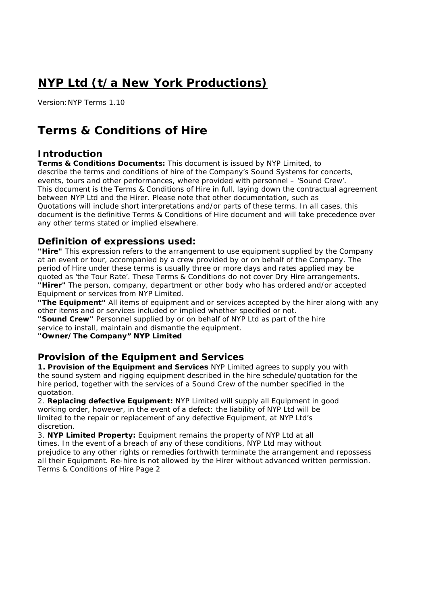# **NYP Ltd (t/a New York Productions)**

Version:NYP Terms 1.10

## **Terms & Conditions of Hire**

## **Introduction**

**Terms & Conditions Documents:** This document is issued by NYP Limited, to describe the terms and conditions of hire of the Company's Sound Systems for concerts, events, tours and other performances, where provided with personnel – 'Sound Crew'. This document is the Terms & Conditions of Hire in full, laying down the contractual agreement between NYP Ltd and the Hirer. Please note that other documentation, such as Quotations will include short interpretations and/or parts of these terms. In all cases, this document is the definitive Terms & Conditions of Hire document and will take precedence over any other terms stated or implied elsewhere.

## **Definition of expressions used:**

**"Hire"** This expression refers to the arrangement to use equipment supplied by the Company at an event or tour, accompanied by a crew provided by or on behalf of the Company. The period of Hire under these terms is usually three or more days and rates applied may be quoted as 'the Tour Rate'. These Terms & Conditions do not cover Dry Hire arrangements. **"Hirer"** The person, company, department or other body who has ordered and/or accepted Equipment or services from NYP Limited.

**"The Equipment"** All items of equipment and or services accepted by the hirer along with any other items and or services included or implied whether specified or not.

**"Sound Crew"** Personnel supplied by or on behalf of NYP Ltd as part of the hire service to install, maintain and dismantle the equipment.

**"Owner/The Company" NYP Limited**

## **Provision of the Equipment and Services**

**1. Provision of the Equipment and Services** NYP Limited agrees to supply you with the sound system and rigging equipment described in the hire schedule/quotation for the hire period, together with the services of a Sound Crew of the number specified in the quotation.

2. **Replacing defective Equipment:** NYP Limited will supply all Equipment in good working order, however, in the event of a defect; the liability of NYP Ltd will be limited to the repair or replacement of any defective Equipment, at NYP Ltd's discretion.

3. **NYP Limited Property:** Equipment remains the property of NYP Ltd at all times. In the event of a breach of any of these conditions, NYP Ltd may without prejudice to any other rights or remedies forthwith terminate the arrangement and repossess all their Equipment. Re-hire is not allowed by the Hirer without advanced written permission. Terms & Conditions of Hire Page 2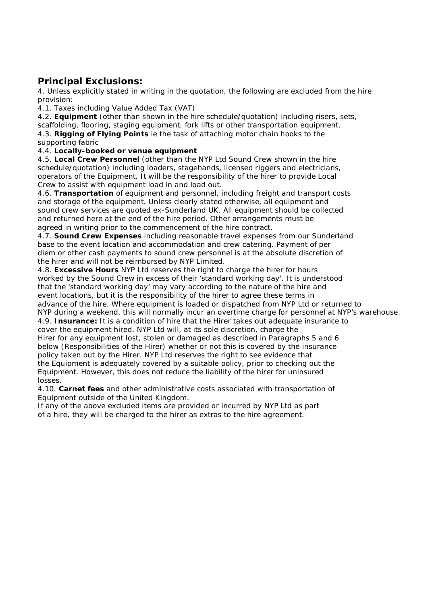## **Principal Exclusions:**

4. Unless explicitly stated in writing in the quotation, the following are excluded from the hire provision:

4.1. Taxes including Value Added Tax (VAT)

4.2. **Equipment** (other than shown in the hire schedule/quotation) including risers, sets, scaffolding, flooring, staging equipment, fork lifts or other transportation equipment.

4.3. **Rigging of Flying Points** ie the task of attaching motor chain hooks to the supporting fabric

#### 4.4. **Locally-booked or venue equipment**

4.5. **Local Crew Personnel** (other than the NYP Ltd Sound Crew shown in the hire schedule/quotation) including loaders, stagehands, licensed riggers and electricians, operators of the Equipment. It will be the responsibility of the hirer to provide Local Crew to assist with equipment load in and load out.

4.6. **Transportation** of equipment and personnel, including freight and transport costs and storage of the equipment. Unless clearly stated otherwise, all equipment and sound crew services are quoted ex-Sunderland UK. All equipment should be collected and returned here at the end of the hire period. Other arrangements must be agreed in writing prior to the commencement of the hire contract.

4.7. **Sound Crew Expenses** including reasonable travel expenses from our Sunderland base to the event location and accommodation and crew catering. Payment of per diem or other cash payments to sound crew personnel is at the absolute discretion of the hirer and will not be reimbursed by NYP Limited.

4.8. **Excessive Hours** NYP Ltd reserves the right to charge the hirer for hours worked by the Sound Crew in excess of their 'standard working day'. It is understood that the 'standard working day' may vary according to the nature of the hire and event locations, but it is the responsibility of the hirer to agree these terms in advance of the hire. Where equipment is loaded or dispatched from NYP Ltd or returned to NYP during a weekend, this will normally incur an overtime charge for personnel at NYP's warehouse.

4.9. **Insurance:** It is a condition of hire that the Hirer takes out adequate insurance to cover the equipment hired. NYP Ltd will, at its sole discretion, charge the Hirer for any equipment lost, stolen or damaged as described in Paragraphs 5 and 6 below (Responsibilities of the Hirer) whether or not this is covered by the insurance policy taken out by the Hirer. NYP Ltd reserves the right to see evidence that the Equipment is adequately covered by a suitable policy, prior to checking out the Equipment. However, this does not reduce the liability of the hirer for uninsured losses.

4.10. **Carnet fees** and other administrative costs associated with transportation of Equipment outside of the United Kingdom.

If any of the above excluded items are provided or incurred by NYP Ltd as part of a hire, they will be charged to the hirer as extras to the hire agreement.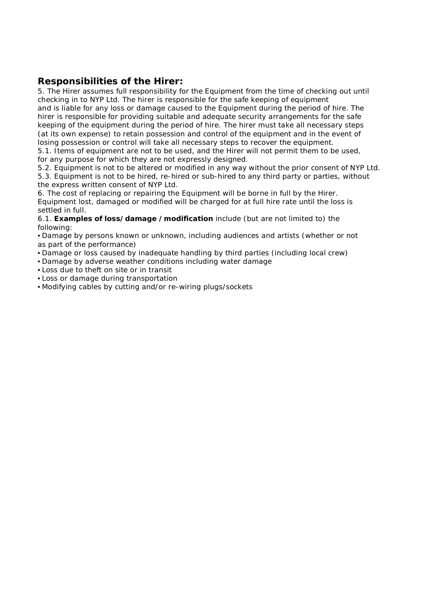## **Responsibilities of the Hirer:**

5. The Hirer assumes full responsibility for the Equipment from the time of checking out until checking in to NYP Ltd. The hirer is responsible for the safe keeping of equipment and is liable for any loss or damage caused to the Equipment during the period of hire. The hirer is responsible for providing suitable and adequate security arrangements for the safe keeping of the equipment during the period of hire. The hirer must take all necessary steps (at its own expense) to retain possession and control of the equipment and in the event of losing possession or control will take all necessary steps to recover the equipment.

5.1. Items of equipment are not to be used, and the Hirer will not permit them to be used, for any purpose for which they are not expressly designed.

5.2. Equipment is not to be altered or modified in any way without the prior consent of NYP Ltd. 5.3. Equipment is not to be hired, re-hired or sub-hired to any third party or parties, without the express written consent of NYP Ltd.

6. The cost of replacing or repairing the Equipment will be borne in full by the Hirer. Equipment lost, damaged or modified will be charged for at full hire rate until the loss is settled in full.

6.1. **Examples of loss/damage /modification** include (but are not limited to) the following:

• Damage by persons known or unknown, including audiences and artists (whether or not as part of the performance)

- Damage or loss caused by inadequate handling by third parties (including local crew)
- Damage by adverse weather conditions including water damage
- Loss due to theft on site or in transit
- Loss or damage during transportation
- Modifying cables by cutting and/or re-wiring plugs/sockets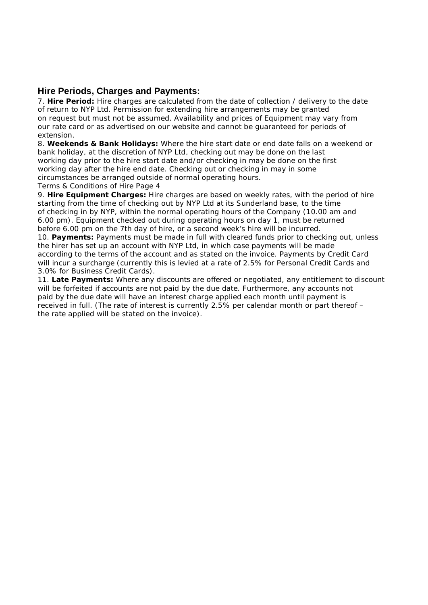#### **Hire Periods, Charges and Payments:**

7. **Hire Period:** Hire charges are calculated from the date of collection / delivery to the date of return to NYP Ltd. Permission for extending hire arrangements may be granted on request but must not be assumed. Availability and prices of Equipment may vary from our rate card or as advertised on our website and cannot be guaranteed for periods of extension.

8. **Weekends & Bank Holidays:** Where the hire start date or end date falls on a weekend or bank holiday, at the discretion of NYP Ltd, checking out may be done on the last working day prior to the hire start date and/or checking in may be done on the first working day after the hire end date. Checking out or checking in may in some circumstances be arranged outside of normal operating hours.

Terms & Conditions of Hire Page 4

9. **Hire Equipment Charges:** Hire charges are based on weekly rates, with the period of hire starting from the time of checking out by NYP Ltd at its Sunderland base, to the time of checking in by NYP, within the normal operating hours of the Company (10.00 am and 6.00 pm). Equipment checked out during operating hours on day 1, must be returned before 6.00 pm on the 7th day of hire, or a second week's hire will be incurred.

10. **Payments:** Payments must be made in full with cleared funds prior to checking out, unless the hirer has set up an account with NYP Ltd, in which case payments will be made according to the terms of the account and as stated on the invoice. Payments by Credit Card will incur a surcharge (currently this is levied at a rate of 2.5% for Personal Credit Cards and 3.0% for Business Credit Cards).

11. **Late Payments:** Where any discounts are offered or negotiated, any entitlement to discount will be forfeited if accounts are not paid by the due date. Furthermore, any accounts not paid by the due date will have an interest charge applied each month until payment is received in full. (The rate of interest is currently 2.5% per calendar month or part thereof – the rate applied will be stated on the invoice).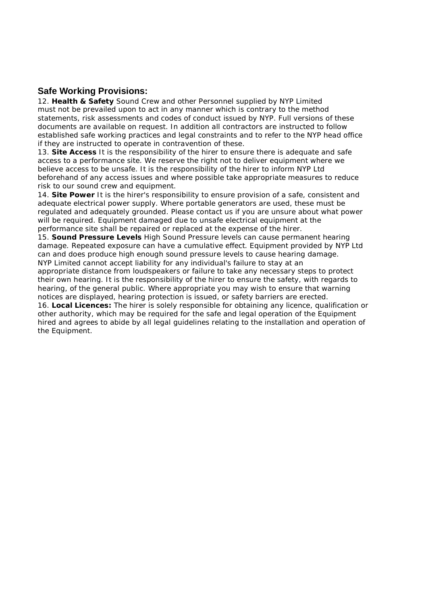## **Safe Working Provisions:**

12. **Health & Safety** Sound Crew and other Personnel supplied by NYP Limited must not be prevailed upon to act in any manner which is contrary to the method statements, risk assessments and codes of conduct issued by NYP. Full versions of these documents are available on request. In addition all contractors are instructed to follow established safe working practices and legal constraints and to refer to the NYP head office if they are instructed to operate in contravention of these.

13. **Site Access** It is the responsibility of the hirer to ensure there is adequate and safe access to a performance site. We reserve the right not to deliver equipment where we believe access to be unsafe. It is the responsibility of the hirer to inform NYP Ltd beforehand of any access issues and where possible take appropriate measures to reduce risk to our sound crew and equipment.

14. **Site Power** It is the hirer's responsibility to ensure provision of a safe, consistent and adequate electrical power supply. Where portable generators are used, these must be regulated and adequately grounded. Please contact us if you are unsure about what power will be required. Equipment damaged due to unsafe electrical equipment at the performance site shall be repaired or replaced at the expense of the hirer.

15. **Sound Pressure Levels** High Sound Pressure levels can cause permanent hearing damage. Repeated exposure can have a cumulative effect. Equipment provided by NYP Ltd can and does produce high enough sound pressure levels to cause hearing damage. NYP Limited cannot accept liability for any individual's failure to stay at an

appropriate distance from loudspeakers or failure to take any necessary steps to protect their own hearing. It is the responsibility of the hirer to ensure the safety, with regards to hearing, of the general public. Where appropriate you may wish to ensure that warning notices are displayed, hearing protection is issued, or safety barriers are erected.

16. **Local Licences:** The hirer is solely responsible for obtaining any licence, qualification or other authority, which may be required for the safe and legal operation of the Equipment hired and agrees to abide by all legal guidelines relating to the installation and operation of the Equipment.